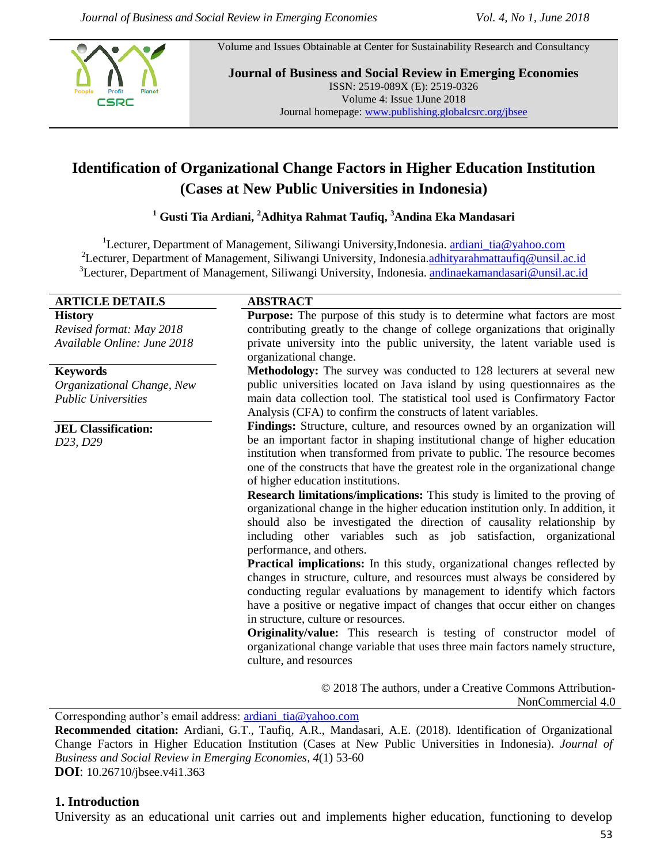CSRC

Volume and Issues Obtainable at Center for Sustainability Research and Consultancy

**Journal of Business and Social Review in Emerging Economies** ISSN: 2519-089X (E): 2519-0326 Volume 4: Issue 1June 2018 Journal homepage[: www.publishing.globalcsrc.org/jbsee](http://www.publishing.globalcsrc.org/jbsee)

# **Identification of Organizational Change Factors in Higher Education Institution (Cases at New Public Universities in Indonesia)**

**<sup>1</sup> Gusti Tia Ardiani, <sup>2</sup>Adhitya Rahmat Taufiq, <sup>3</sup>Andina Eka Mandasari**

<sup>1</sup>Lecturer, Department of Management, Siliwangi University,Indonesia. [ardiani\\_tia@yahoo.com](mailto:ardiani_tia@yahoo.com) <sup>2</sup>Lecturer, Department of Management, Siliwangi University, Indonesia.[adhityarahmattaufiq@unsil.ac.id](mailto:adhityarahmattaufiq@unsil.ac.id) <sup>3</sup>Lecturer, Department of Management, Siliwangi University, Indonesia. [andinaekamandasari@unsil.ac.id](mailto:andinaekamandasari@unsil.ac.id)

| <b>ARTICLE DETAILS</b>      | <b>ABSTRACT</b>                                                                   |  |  |  |  |
|-----------------------------|-----------------------------------------------------------------------------------|--|--|--|--|
| <b>History</b>              | <b>Purpose:</b> The purpose of this study is to determine what factors are most   |  |  |  |  |
| Revised format: May 2018    | contributing greatly to the change of college organizations that originally       |  |  |  |  |
| Available Online: June 2018 | private university into the public university, the latent variable used is        |  |  |  |  |
|                             | organizational change.                                                            |  |  |  |  |
| <b>Keywords</b>             | Methodology: The survey was conducted to 128 lecturers at several new             |  |  |  |  |
| Organizational Change, New  | public universities located on Java island by using questionnaires as the         |  |  |  |  |
| <b>Public Universities</b>  | main data collection tool. The statistical tool used is Confirmatory Factor       |  |  |  |  |
|                             | Analysis (CFA) to confirm the constructs of latent variables.                     |  |  |  |  |
| <b>JEL Classification:</b>  | Findings: Structure, culture, and resources owned by an organization will         |  |  |  |  |
| D23, D29                    | be an important factor in shaping institutional change of higher education        |  |  |  |  |
|                             | institution when transformed from private to public. The resource becomes         |  |  |  |  |
|                             | one of the constructs that have the greatest role in the organizational change    |  |  |  |  |
|                             | of higher education institutions.                                                 |  |  |  |  |
|                             | Research limitations/implications: This study is limited to the proving of        |  |  |  |  |
|                             | organizational change in the higher education institution only. In addition, it   |  |  |  |  |
|                             | should also be investigated the direction of causality relationship by            |  |  |  |  |
|                             | including other variables such as job satisfaction, organizational                |  |  |  |  |
|                             | performance, and others.                                                          |  |  |  |  |
|                             | <b>Practical implications:</b> In this study, organizational changes reflected by |  |  |  |  |
|                             | changes in structure, culture, and resources must always be considered by         |  |  |  |  |
|                             | conducting regular evaluations by management to identify which factors            |  |  |  |  |
|                             | have a positive or negative impact of changes that occur either on changes        |  |  |  |  |
|                             | in structure, culture or resources.                                               |  |  |  |  |
|                             | <b>Originality/value:</b> This research is testing of constructor model of        |  |  |  |  |
|                             | organizational change variable that uses three main factors namely structure,     |  |  |  |  |
|                             | culture, and resources                                                            |  |  |  |  |
|                             |                                                                                   |  |  |  |  |
|                             | © 2018 The authors, under a Creative Commons Attribution-                         |  |  |  |  |
|                             | NonCommercial 4.0                                                                 |  |  |  |  |

Corresponding author's email address: [ardiani\\_tia@yahoo.com](mailto:ardiani_tia@yahoo.com)

**Recommended citation:** Ardiani, G.T., Taufiq, A.R., Mandasari, A.E. (2018). Identification of Organizational Change Factors in Higher Education Institution (Cases at New Public Universities in Indonesia). *Journal of Business and Social Review in Emerging Economies, 4*(1) 53-60 **DOI**: 10.26710/jbsee.v4i1.363

## **1. Introduction**

University as an educational unit carries out and implements higher education, functioning to develop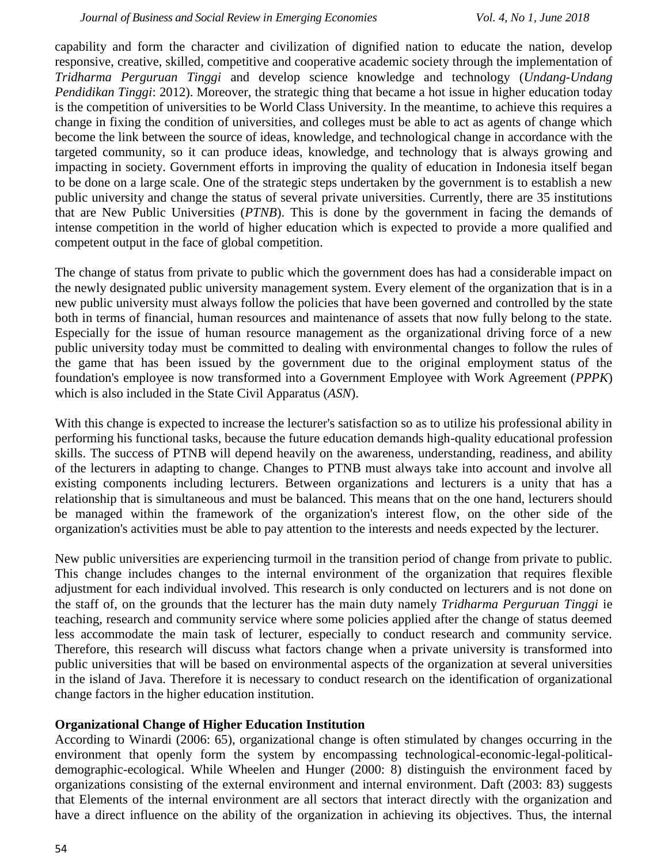capability and form the character and civilization of dignified nation to educate the nation, develop responsive, creative, skilled, competitive and cooperative academic society through the implementation of *Tridharma Perguruan Tinggi* and develop science knowledge and technology (*Undang-Undang Pendidikan Tinggi*: 2012). Moreover, the strategic thing that became a hot issue in higher education today is the competition of universities to be World Class University. In the meantime, to achieve this requires a change in fixing the condition of universities, and colleges must be able to act as agents of change which become the link between the source of ideas, knowledge, and technological change in accordance with the targeted community, so it can produce ideas, knowledge, and technology that is always growing and impacting in society. Government efforts in improving the quality of education in Indonesia itself began to be done on a large scale. One of the strategic steps undertaken by the government is to establish a new public university and change the status of several private universities. Currently, there are 35 institutions that are New Public Universities (*PTNB*). This is done by the government in facing the demands of intense competition in the world of higher education which is expected to provide a more qualified and competent output in the face of global competition.

The change of status from private to public which the government does has had a considerable impact on the newly designated public university management system. Every element of the organization that is in a new public university must always follow the policies that have been governed and controlled by the state both in terms of financial, human resources and maintenance of assets that now fully belong to the state. Especially for the issue of human resource management as the organizational driving force of a new public university today must be committed to dealing with environmental changes to follow the rules of the game that has been issued by the government due to the original employment status of the foundation's employee is now transformed into a Government Employee with Work Agreement (*PPPK*) which is also included in the State Civil Apparatus (*ASN*).

With this change is expected to increase the lecturer's satisfaction so as to utilize his professional ability in performing his functional tasks, because the future education demands high-quality educational profession skills. The success of PTNB will depend heavily on the awareness, understanding, readiness, and ability of the lecturers in adapting to change. Changes to PTNB must always take into account and involve all existing components including lecturers. Between organizations and lecturers is a unity that has a relationship that is simultaneous and must be balanced. This means that on the one hand, lecturers should be managed within the framework of the organization's interest flow, on the other side of the organization's activities must be able to pay attention to the interests and needs expected by the lecturer.

New public universities are experiencing turmoil in the transition period of change from private to public. This change includes changes to the internal environment of the organization that requires flexible adjustment for each individual involved. This research is only conducted on lecturers and is not done on the staff of, on the grounds that the lecturer has the main duty namely *Tridharma Perguruan Tinggi* ie teaching, research and community service where some policies applied after the change of status deemed less accommodate the main task of lecturer, especially to conduct research and community service. Therefore, this research will discuss what factors change when a private university is transformed into public universities that will be based on environmental aspects of the organization at several universities in the island of Java. Therefore it is necessary to conduct research on the identification of organizational change factors in the higher education institution.

## **Organizational Change of Higher Education Institution**

According to Winardi (2006: 65), organizational change is often stimulated by changes occurring in the environment that openly form the system by encompassing technological-economic-legal-politicaldemographic-ecological. While Wheelen and Hunger (2000: 8) distinguish the environment faced by organizations consisting of the external environment and internal environment. Daft (2003: 83) suggests that Elements of the internal environment are all sectors that interact directly with the organization and have a direct influence on the ability of the organization in achieving its objectives. Thus, the internal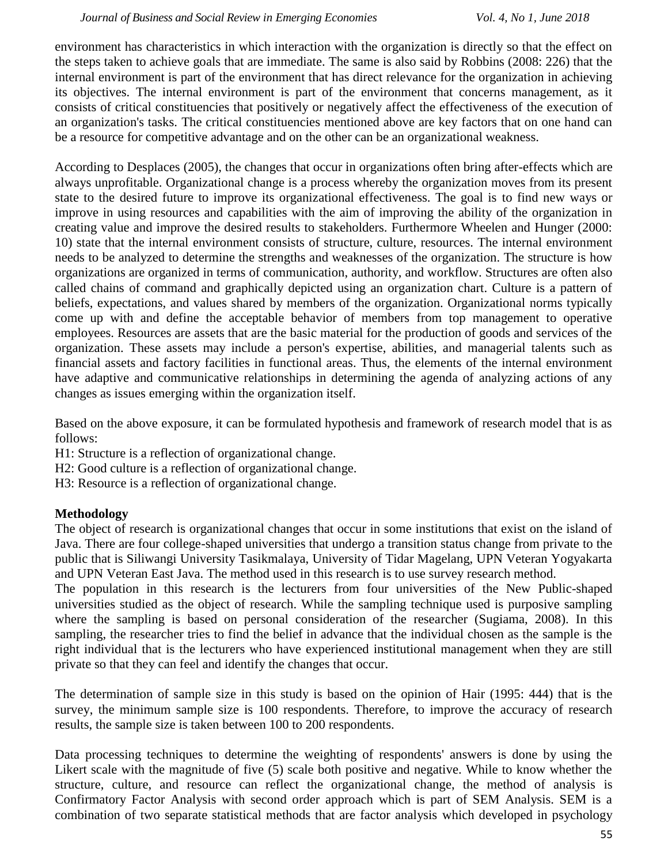environment has characteristics in which interaction with the organization is directly so that the effect on the steps taken to achieve goals that are immediate. The same is also said by Robbins (2008: 226) that the internal environment is part of the environment that has direct relevance for the organization in achieving its objectives. The internal environment is part of the environment that concerns management, as it consists of critical constituencies that positively or negatively affect the effectiveness of the execution of an organization's tasks. The critical constituencies mentioned above are key factors that on one hand can be a resource for competitive advantage and on the other can be an organizational weakness.

According to Desplaces (2005), the changes that occur in organizations often bring after-effects which are always unprofitable. Organizational change is a process whereby the organization moves from its present state to the desired future to improve its organizational effectiveness. The goal is to find new ways or improve in using resources and capabilities with the aim of improving the ability of the organization in creating value and improve the desired results to stakeholders. Furthermore Wheelen and Hunger (2000: 10) state that the internal environment consists of structure, culture, resources. The internal environment needs to be analyzed to determine the strengths and weaknesses of the organization. The structure is how organizations are organized in terms of communication, authority, and workflow. Structures are often also called chains of command and graphically depicted using an organization chart. Culture is a pattern of beliefs, expectations, and values shared by members of the organization. Organizational norms typically come up with and define the acceptable behavior of members from top management to operative employees. Resources are assets that are the basic material for the production of goods and services of the organization. These assets may include a person's expertise, abilities, and managerial talents such as financial assets and factory facilities in functional areas. Thus, the elements of the internal environment have adaptive and communicative relationships in determining the agenda of analyzing actions of any changes as issues emerging within the organization itself.

Based on the above exposure, it can be formulated hypothesis and framework of research model that is as follows:

- H1: Structure is a reflection of organizational change.
- H2: Good culture is a reflection of organizational change.
- H3: Resource is a reflection of organizational change.

## **Methodology**

The object of research is organizational changes that occur in some institutions that exist on the island of Java. There are four college-shaped universities that undergo a transition status change from private to the public that is Siliwangi University Tasikmalaya, University of Tidar Magelang, UPN Veteran Yogyakarta and UPN Veteran East Java. The method used in this research is to use survey research method.

The population in this research is the lecturers from four universities of the New Public-shaped universities studied as the object of research. While the sampling technique used is purposive sampling where the sampling is based on personal consideration of the researcher (Sugiama, 2008). In this sampling, the researcher tries to find the belief in advance that the individual chosen as the sample is the right individual that is the lecturers who have experienced institutional management when they are still private so that they can feel and identify the changes that occur.

The determination of sample size in this study is based on the opinion of Hair (1995: 444) that is the survey, the minimum sample size is 100 respondents. Therefore, to improve the accuracy of research results, the sample size is taken between 100 to 200 respondents.

Data processing techniques to determine the weighting of respondents' answers is done by using the Likert scale with the magnitude of five (5) scale both positive and negative. While to know whether the structure, culture, and resource can reflect the organizational change, the method of analysis is Confirmatory Factor Analysis with second order approach which is part of SEM Analysis. SEM is a combination of two separate statistical methods that are factor analysis which developed in psychology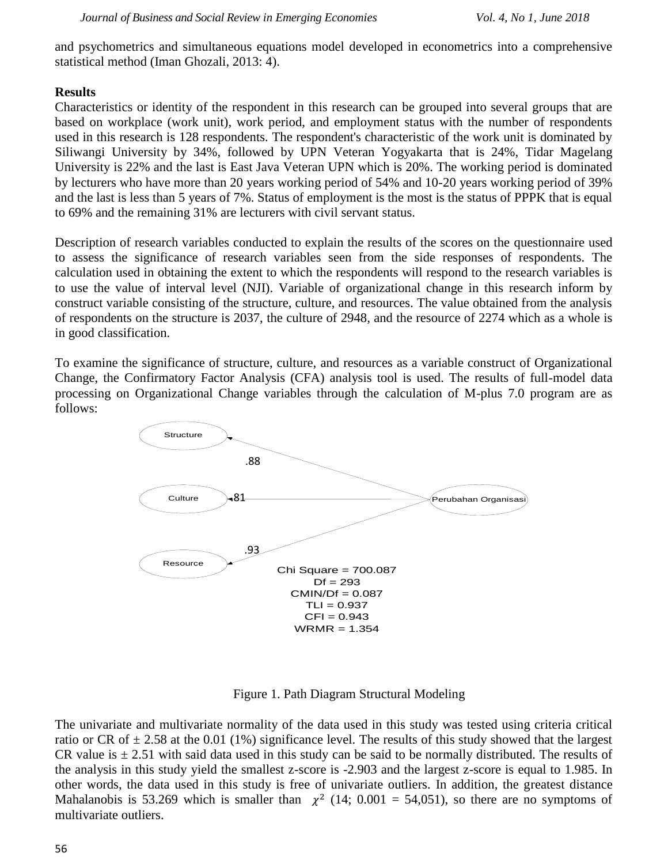and psychometrics and simultaneous equations model developed in econometrics into a comprehensive statistical method (Iman Ghozali, 2013: 4).

#### **Results**

Characteristics or identity of the respondent in this research can be grouped into several groups that are based on workplace (work unit), work period, and employment status with the number of respondents used in this research is 128 respondents. The respondent's characteristic of the work unit is dominated by Siliwangi University by 34%, followed by UPN Veteran Yogyakarta that is 24%, Tidar Magelang University is 22% and the last is East Java Veteran UPN which is 20%. The working period is dominated by lecturers who have more than 20 years working period of 54% and 10-20 years working period of 39% and the last is less than 5 years of 7%. Status of employment is the most is the status of PPPK that is equal to 69% and the remaining 31% are lecturers with civil servant status.

Description of research variables conducted to explain the results of the scores on the questionnaire used to assess the significance of research variables seen from the side responses of respondents. The calculation used in obtaining the extent to which the respondents will respond to the research variables is to use the value of interval level (NJI). Variable of organizational change in this research inform by construct variable consisting of the structure, culture, and resources. The value obtained from the analysis of respondents on the structure is 2037, the culture of 2948, and the resource of 2274 which as a whole is in good classification.

To examine the significance of structure, culture, and resources as a variable construct of Organizational Change, the Confirmatory Factor Analysis (CFA) analysis tool is used. The results of full-model data processing on Organizational Change variables through the calculation of M-plus 7.0 program are as follows:



Figure 1. Path Diagram Structural Modeling

The univariate and multivariate normality of the data used in this study was tested using criteria critical ratio or CR of  $\pm$  2.58 at the 0.01 (1%) significance level. The results of this study showed that the largest CR value is  $\pm$  2.51 with said data used in this study can be said to be normally distributed. The results of the analysis in this study yield the smallest z-score is -2.903 and the largest z-score is equal to 1.985. In other words, the data used in this study is free of univariate outliers. In addition, the greatest distance Mahalanobis is 53.269 which is smaller than  $\chi^2$  (14; 0.001 = 54,051), so there are no symptoms of multivariate outliers.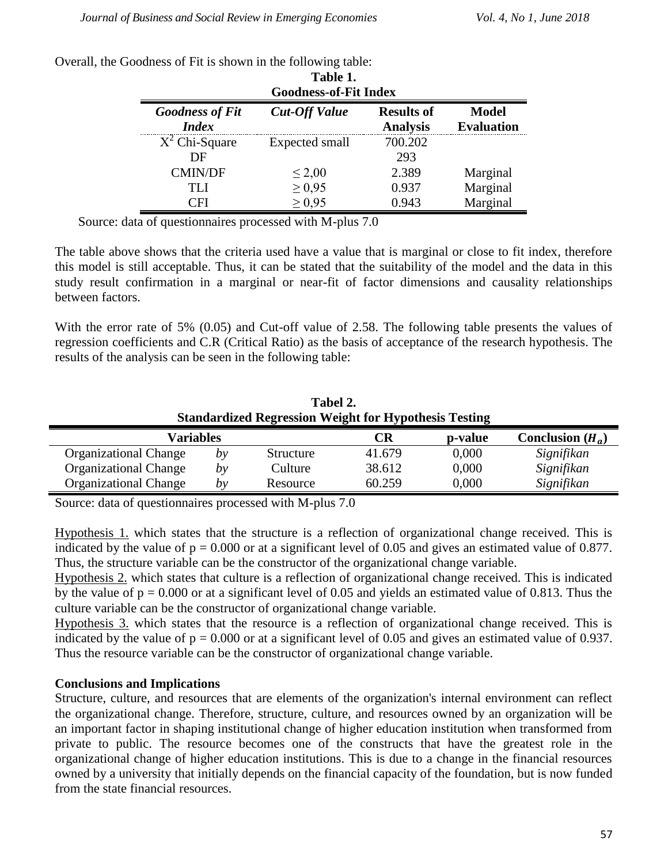| Table 1.<br><b>Goodness-of-Fit Index</b> |                      |                                      |                                   |  |  |  |
|------------------------------------------|----------------------|--------------------------------------|-----------------------------------|--|--|--|
| <b>Goodness of Fit</b><br><i>Index</i>   | <b>Cut-Off Value</b> | <b>Results of</b><br><b>Analysis</b> | <b>Model</b><br><b>Evaluation</b> |  |  |  |
| $X^2$ Chi-Square                         | Expected small       | 700.202                              |                                   |  |  |  |
| DE                                       |                      | 293                                  |                                   |  |  |  |
| <b>CMIN/DF</b>                           | $\leq$ 2,00          | 2.389                                | Marginal                          |  |  |  |
| TH                                       | $\geq 0.95$          | 0.937                                | Marginal                          |  |  |  |
| $\bigcirc$ fi                            | $\geq 0.95$          | 0.943                                | Marginal                          |  |  |  |

Overall, the Goodness of Fit is shown in the following table:

Source: data of questionnaires processed with M-plus 7.0

The table above shows that the criteria used have a value that is marginal or close to fit index, therefore this model is still acceptable. Thus, it can be stated that the suitability of the model and the data in this study result confirmation in a marginal or near-fit of factor dimensions and causality relationships between factors.

With the error rate of 5% (0.05) and Cut-off value of 2.58. The following table presents the values of regression coefficients and C.R (Critical Ratio) as the basis of acceptance of the research hypothesis. The results of the analysis can be seen in the following table:

| Tabel 2.<br><b>Standardized Regression Weight for Hypothesis Testing</b> |    |           |        |         |                    |  |  |
|--------------------------------------------------------------------------|----|-----------|--------|---------|--------------------|--|--|
| Variables                                                                |    |           | CR     | p-value | Conclusion $(H_a)$ |  |  |
| <b>Organizational Change</b>                                             | bν | Structure | 41.679 | 0,000   | Signifikan         |  |  |
| <b>Organizational Change</b>                                             | bγ | Culture   | 38.612 | 0,000   | Signifikan         |  |  |
| <b>Organizational Change</b>                                             | bν | Resource  | 60.259 | 0,000   | Signifikan         |  |  |

Source: data of questionnaires processed with M-plus 7.0

Hypothesis 1. which states that the structure is a reflection of organizational change received. This is indicated by the value of  $p = 0.000$  or at a significant level of 0.05 and gives an estimated value of 0.877. Thus, the structure variable can be the constructor of the organizational change variable.

Hypothesis 2. which states that culture is a reflection of organizational change received. This is indicated by the value of  $p = 0.000$  or at a significant level of 0.05 and yields an estimated value of 0.813. Thus the culture variable can be the constructor of organizational change variable.

Hypothesis 3. which states that the resource is a reflection of organizational change received. This is indicated by the value of  $p = 0.000$  or at a significant level of 0.05 and gives an estimated value of 0.937. Thus the resource variable can be the constructor of organizational change variable.

## **Conclusions and Implications**

Structure, culture, and resources that are elements of the organization's internal environment can reflect the organizational change. Therefore, structure, culture, and resources owned by an organization will be an important factor in shaping institutional change of higher education institution when transformed from private to public. The resource becomes one of the constructs that have the greatest role in the organizational change of higher education institutions. This is due to a change in the financial resources owned by a university that initially depends on the financial capacity of the foundation, but is now funded from the state financial resources.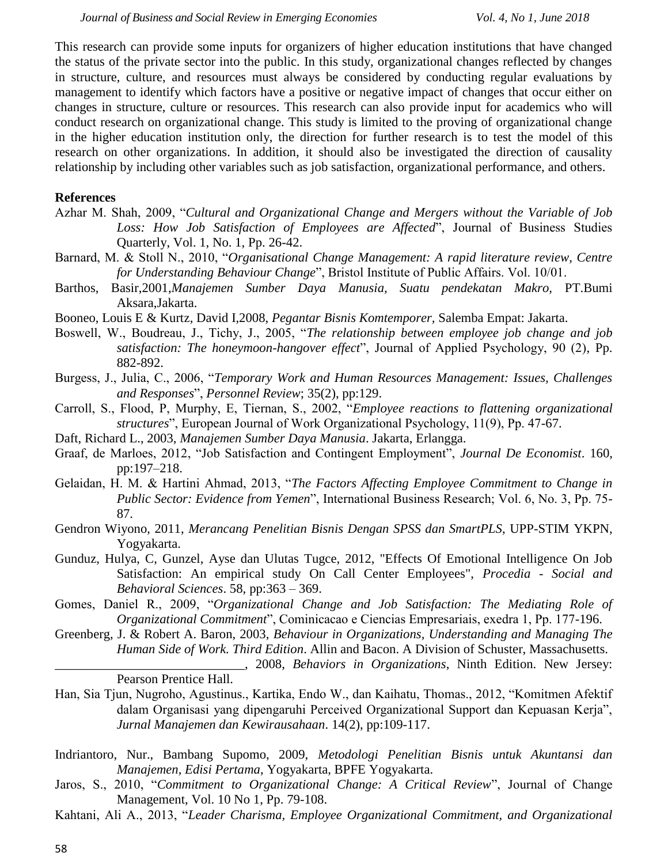This research can provide some inputs for organizers of higher education institutions that have changed the status of the private sector into the public. In this study, organizational changes reflected by changes in structure, culture, and resources must always be considered by conducting regular evaluations by management to identify which factors have a positive or negative impact of changes that occur either on changes in structure, culture or resources. This research can also provide input for academics who will conduct research on organizational change. This study is limited to the proving of organizational change in the higher education institution only, the direction for further research is to test the model of this research on other organizations. In addition, it should also be investigated the direction of causality relationship by including other variables such as job satisfaction, organizational performance, and others.

#### **References**

- Azhar M. Shah, 2009, "*Cultural and Organizational Change and Mergers without the Variable of Job Loss: How Job Satisfaction of Employees are Affected*", Journal of Business Studies Quarterly, Vol. 1, No. 1, Pp. 26-42.
- Barnard, M. & Stoll N., 2010, "*Organisational Change Management: A rapid literature review, Centre for Understanding Behaviour Change*", Bristol Institute of Public Affairs. Vol. 10/01.
- Barthos, Basir,2001,*Manajemen Sumber Daya Manusia, Suatu pendekatan Makro,* PT.Bumi Aksara,Jakarta.
- Booneo, Louis E & Kurtz, David I,2008, *Pegantar Bisnis Komtemporer,* Salemba Empat: Jakarta.
- Boswell, W., Boudreau, J., Tichy, J., 2005, "*The relationship between employee job change and job satisfaction: The honeymoon-hangover effect*", Journal of Applied Psychology, 90 (2), Pp. 882-892.
- Burgess, J., Julia, C., 2006, "*Temporary Work and Human Resources Management: Issues, Challenges and Responses*", *Personnel Review*; 35(2), pp:129.
- Carroll, S., Flood, P, Murphy, E, Tiernan, S., 2002, "*Employee reactions to flattening organizational structures*", European Journal of Work Organizational Psychology, 11(9), Pp. 47-67.
- Daft, Richard L., 2003, *Manajemen Sumber Daya Manusia*. Jakarta, Erlangga.
- Graaf, de Marloes, 2012, "Job Satisfaction and Contingent Employment", *Journal De Economist*. 160, pp:197–218.
- Gelaidan, H. M. & Hartini Ahmad, 2013, "*The Factors Affecting Employee Commitment to Change in Public Sector: Evidence from Yemen*", International Business Research; Vol. 6, No. 3, Pp. 75- 87.
- Gendron Wiyono, 2011, *Merancang Penelitian Bisnis Dengan SPSS dan SmartPLS*, UPP-STIM YKPN, Yogyakarta.
- Gunduz, Hulya, C, Gunzel, Ayse dan Ulutas Tugce, 2012, "Effects Of Emotional Intelligence On Job Satisfaction: An empirical study On Call Center Employees", *Procedia - Social and Behavioral Sciences*. 58, pp:363 – 369.
- Gomes, Daniel R., 2009, "*Organizational Change and Job Satisfaction: The Mediating Role of Organizational Commitment*", Cominicacao e Ciencias Empresariais, exedra 1, Pp. 177-196.
- Greenberg, J. & Robert A. Baron, 2003, *Behaviour in Organizations, Understanding and Managing The Human Side of Work. Third Edition*. Allin and Bacon. A Division of Schuster, Massachusetts. \_\_\_\_\_\_\_\_\_\_\_\_\_\_\_\_\_\_\_\_\_\_\_\_\_\_\_\_\_, 2008, *Behaviors in Organizations*, Ninth Edition. New Jersey:

Pearson Prentice Hall.

- Han, Sia Tjun, Nugroho, Agustinus., Kartika, Endo W., dan Kaihatu, Thomas., 2012, "Komitmen Afektif dalam Organisasi yang dipengaruhi Perceived Organizational Support dan Kepuasan Kerja", *Jurnal Manajemen dan Kewirausahaan*. 14(2), pp:109-117.
- Indriantoro, Nur., Bambang Supomo, 2009, *Metodologi Penelitian Bisnis untuk Akuntansi dan Manajemen, Edisi Pertama*, Yogyakarta, BPFE Yogyakarta.
- Jaros, S., 2010, "*Commitment to Organizational Change: A Critical Review*", Journal of Change Management, Vol. 10 No 1, Pp. 79-108.
- Kahtani, Ali A., 2013, "*Leader Charisma, Employee Organizational Commitment, and Organizational*